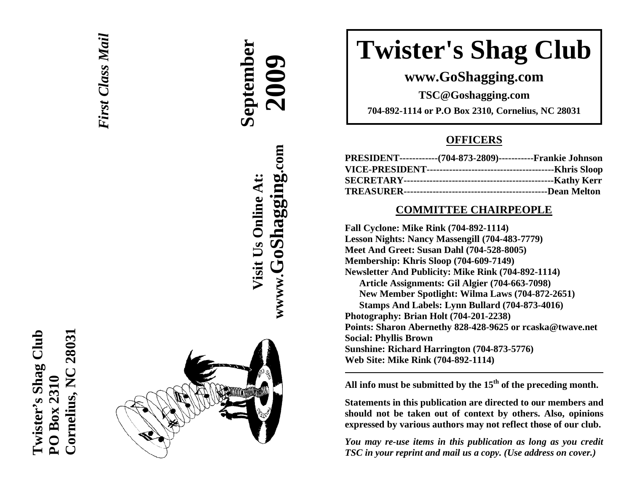



# **September 2009 wwww.GoShagging.com** www.GoShagging.com Visit Us Online At: **Visit Us Online At:**

# **Twister's Shag Club**

**www.GoShagging.com** 

**TSC@Goshagging.com 704-892-1114 or P.O Box 2310, Cornelius, NC 28031** 

## **OFFICERS**

| PRESIDENT------------(704-873-2809)-----------Frankie Johnson |  |
|---------------------------------------------------------------|--|
|                                                               |  |
|                                                               |  |
|                                                               |  |

### **COMMITTEE CHAIRPEOPLE**

**Fall Cyclone: Mike Rink (704-892-1114) Lesson Nights: Nancy Massengill (704-483-7779) Meet And Greet: Susan Dahl (704-528-8005) Membership: Khris Sloop (704-609-7149) Newsletter And Publicity: Mike Rink (704-892-1114) Article Assignments: Gil Algier (704-663-7098) New Member Spotlight: Wilma Laws (704-872-2651) Stamps And Labels: Lynn Bullard (704-873-4016) Photography: Brian Holt (704-201-2238) Points: Sharon Abernethy 828-428-9625 or rcaska@twave.net Social: Phyllis Brown Sunshine: Richard Harrington (704-873-5776) Web Site: Mike Rink (704-892-1114)** 

**All info must be submitted by the 15th of the preceding month.** 

**Statements in this publication are directed to our members and should not be taken out of context by others. Also, opinions expressed by various authors may not reflect those of our club.** 

*You may re-use items in this publication as long as you credit TSC in your reprint and mail us a copy. (Use address on cover.)*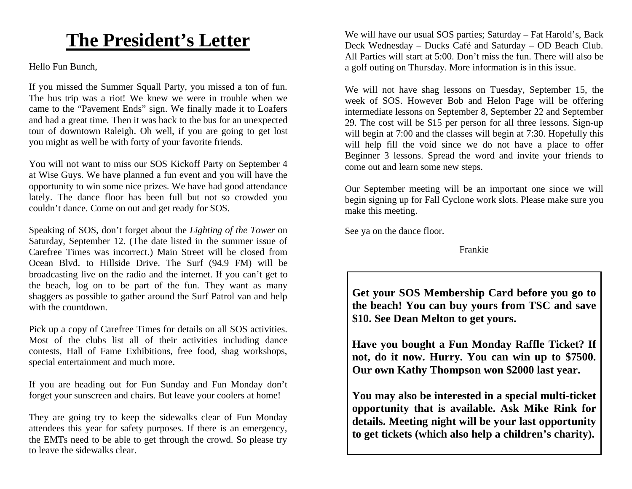# **The President's Letter**

Hello Fun Bunch,

If you missed the Summer Squall Party, you missed a ton of fun. The bus trip was a riot! We knew we were in trouble when we came to the "Pavement Ends" sign. We finally made it to Loafers and had a great time. Then it was back to the bus for an unexpected tour of downtown Raleigh. Oh well, if you are going to get lost you might as well be with forty of your favorite friends.

You will not want to miss our SOS Kickoff Party on September 4 at Wise Guys. We have planned a fun event and you will have the opportunity to win some nice prizes. We have had good attendance lately. The dance floor has been full but not so crowded you couldn't dance. Come on out and get ready for SOS.

Speaking of SOS, don't forget about the *Lighting of the Tower* on Saturday, September 12. (The date listed in the summer issue of Carefree Times was incorrect.) Main Street will be closed from Ocean Blvd. to Hillside Drive. The Surf (94.9 FM) will be broadcasting live on the radio and the internet. If you can't get to the beach, log on to be part of the fun. They want as many shaggers as possible to gather around the Surf Patrol van and help with the countdown.

Pick up a copy of Carefree Times for details on all SOS activities. Most of the clubs list all of their activities including dance contests, Hall of Fame Exhibitions, free food, shag workshops, special entertainment and much more.

If you are heading out for Fun Sunday and Fun Monday don't forget your sunscreen and chairs. But leave your coolers at home!

They are going try to keep the sidewalks clear of Fun Monday attendees this year for safety purposes. If there is an emergency, the EMTs need to be able to get through the crowd. So please try to leave the sidewalks clear.

We will have our usual SOS parties; Saturday – Fat Harold's, Back Deck Wednesday – Ducks Café and Saturday – OD Beach Club. All Parties will start at 5:00. Don't miss the fun. There will also be a golf outing on Thursday. More information is in this issue.

We will not have shag lessons on Tuesday, September 15, the week of SOS. However Bob and Helon Page will be offering intermediate lessons on September 8, September 22 and September 29. The cost will be \$15 per person for all three lessons. Sign-up will begin at 7:00 and the classes will begin at 7:30. Hopefully this will help fill the void since we do not have a place to offer Beginner 3 lessons. Spread the word and invite your friends to come out and learn some new steps.

Our September meeting will be an important one since we will begin signing up for Fall Cyclone work slots. Please make sure you make this meeting.

See ya on the dance floor.

Frankie

**Get your SOS Membership Card before you go to the beach! You can buy yours from TSC and save \$10. See Dean Melton to get yours.** 

**Have you bought a Fun Monday Raffle Ticket? If not, do it now. Hurry. You can win up to \$7500. Our own Kathy Thompson won \$2000 last year.** 

**You may also be interested in a special multi-ticket opportunity that is available. Ask Mike Rink for details. Meeting night will be your last opportunity to get tickets (which also help a children's charity).**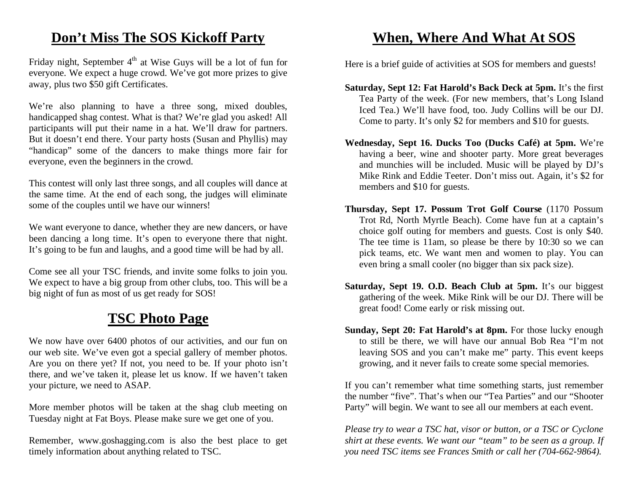# **Don't Miss The SOS Kickoff Party**

Friday night, September  $4<sup>th</sup>$  at Wise Guys will be a lot of fun for everyone. We expect a huge crowd. We've got more prizes to give away, plus two \$50 gift Certificates.

We're also planning to have a three song, mixed doubles, handicapped shag contest. What is that? We're glad you asked! All participants will put their name in a hat. We'll draw for partners. But it doesn't end there. Your party hosts (Susan and Phyllis) may "handicap" some of the dancers to make things more fair for everyone, even the beginners in the crowd.

This contest will only last three songs, and all couples will dance at the same time. At the end of each song, the judges will eliminate some of the couples until we have our winners!

We want everyone to dance, whether they are new dancers, or have been dancing a long time. It's open to everyone there that night. It's going to be fun and laughs, and a good time will be had by all.

Come see all your TSC friends, and invite some folks to join you. We expect to have a big group from other clubs, too. This will be a big night of fun as most of us get ready for SOS!

# **TSC Photo Page**

We now have over 6400 photos of our activities, and our fun on our web site. We've even got a special gallery of member photos. Are you on there yet? If not, you need to be. If your photo isn't there, and we've taken it, please let us know. If we haven't taken your picture, we need to ASAP.

More member photos will be taken at the shag club meeting on Tuesday night at Fat Boys. Please make sure we get one of you.

Remember, www.goshagging.com is also the best place to get timely information about anything related to TSC.

# **When, Where And What At SOS**

Here is a brief guide of activities at SOS for members and guests!

- **Saturday, Sept 12: Fat Harold's Back Deck at 5pm.** It's the first Tea Party of the week. (For new members, that's Long Island Iced Tea.) We'll have food, too. Judy Collins will be our DJ. Come to party. It's only \$2 for members and \$10 for guests.
- **Wednesday, Sept 16. Ducks Too (Ducks Café) at 5pm.** We're having a beer, wine and shooter party. More great beverages and munchies will be included. Music will be played by DJ's Mike Rink and Eddie Teeter. Don't miss out. Again, it's \$2 for members and \$10 for guests.
- **Thursday, Sept 17. Possum Trot Golf Course** (1170 Possum Trot Rd, North Myrtle Beach). Come have fun at a captain's choice golf outing for members and guests. Cost is only \$40. The tee time is 11am, so please be there by 10:30 so we can pick teams, etc. We want men and women to play. You can even bring a small cooler (no bigger than six pack size).
- **Saturday, Sept 19. O.D. Beach Club at 5pm.** It's our biggest gathering of the week. Mike Rink will be our DJ. There will be great food! Come early or risk missing out.
- **Sunday, Sept 20: Fat Harold's at 8pm.** For those lucky enough to still be there, we will have our annual Bob Rea "I'm not leaving SOS and you can't make me" party. This event keeps growing, and it never fails to create some special memories.

If you can't remember what time something starts, just remember the number "five". That's when our "Tea Parties" and our "Shooter Party" will begin. We want to see all our members at each event.

*Please try to wear a TSC hat, visor or button, or a TSC or Cyclone shirt at these events. We want our "team" to be seen as a group. If you need TSC items see Frances Smith or call her (704-662-9864).*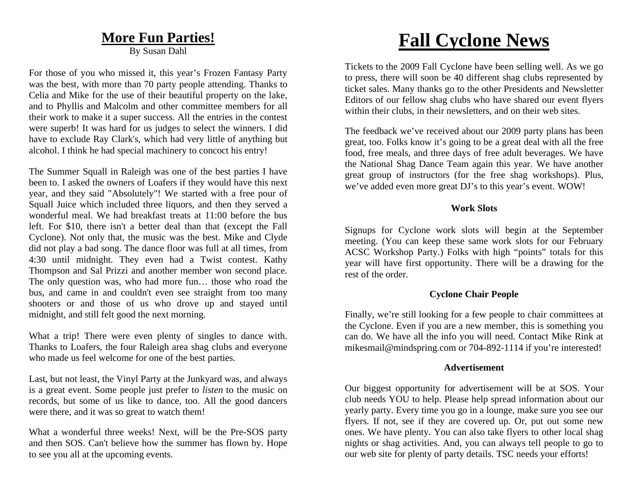## **More Fun Parties!**

By Susan Dahl

For those of you who missed it, this year's Frozen Fantasy Party was the best, with more than 70 party people attending. Thanks to Celia and Mike for the use of their beautiful property on the lake, and to Phyllis and Malcolm and other committee members for all their work to make it a super success. All the entries in the contest were superb! It was hard for us judges to select the winners. I did have to exclude Ray Clark's, which had very little of anything but alcohol. I think he had special machinery to concoct his entry!

The Summer Squall in Raleigh was one of the best parties I have been to. I asked the owners of Loafers if they would have this next year, and they said "Absolutely"! We started with a free pour of Squall Juice which included three liquors, and then they served a wonderful meal. We had breakfast treats at 11:00 before the bus left. For \$10, there isn't a better deal than that (except the Fall Cyclone). Not only that, the music was the best. Mike and Clyde did not play a bad song. The dance floor was full at all times, from 4:30 until midnight. They even had a Twist contest. Kathy Thompson and Sal Prizzi and another member won second place. The only question was, who had more fun… those who road the bus, and came in and couldn't even see straight from too many shooters or and those of us who drove up and stayed until midnight, and still felt good the next morning.

What a trip! There were even plenty of singles to dance with. Thanks to Loafers, the four Raleigh area shag clubs and everyone who made us feel welcome for one of the best parties.

Last, but not least, the Vinyl Party at the Junkyard was, and always is a great event. Some people just prefer to *listen* to the music on records, but some of us like to dance, too. All the good dancers were there, and it was so great to watch them!

What a wonderful three weeks! Next, will be the Pre-SOS party and then SOS. Can't believe how the summer has flown by. Hope to see you all at the upcoming events.

# **Fall Cyclone News**

Tickets to the 2009 Fall Cyclone have been selling well. As we go to press, there will soon be 40 different shag clubs represented by ticket sales. Many thanks go to the other Presidents and Newsletter Editors of our fellow shag clubs who have shared our event flyers within their clubs, in their newsletters, and on their web sites.

The feedback we've received about our 2009 party plans has been great, too. Folks know it's going to be a great deal with all the free food, free meals, and three days of free adult beverages. We have the National Shag Dance Team again this year. We have another great group of instructors (for the free shag workshops). Plus, we've added even more great DJ's to this year's event. WOW!

#### **Work Slots**

Signups for Cyclone work slots will begin at the September meeting. (You can keep these same work slots for our February ACSC Workshop Party.) Folks with high "points" totals for this year will have first opportunity. There will be a drawing for the rest of the order.

#### **Cyclone Chair People**

Finally, we're still looking for a few people to chair committees at the Cyclone. Even if you are a new member, this is something you can do. We have all the info you will need. Contact Mike Rink at mikesmail@mindspring.com or 704-892-1114 if you're interested!

#### **Advertisement**

Our biggest opportunity for advertisement will be at SOS. Your club needs YOU to help. Please help spread information about our yearly party. Every time you go in a lounge, make sure you see our flyers. If not, see if they are covered up. Or, put out some new ones. We have plenty. You can also take flyers to other local shag nights or shag activities. And, you can always tell people to go to our web site for plenty of party details. TSC needs your efforts!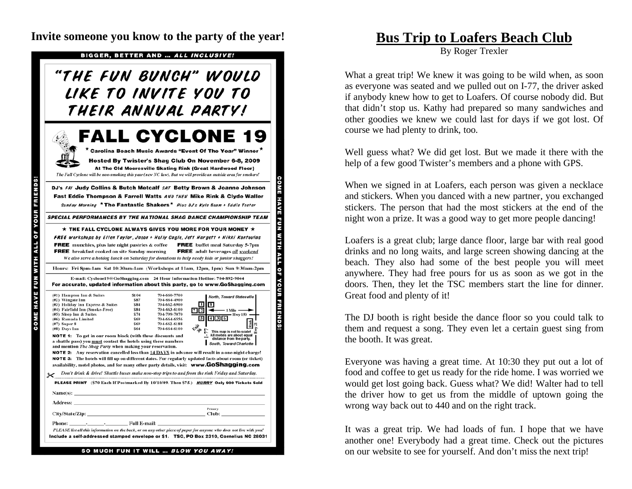**Invite someone you know to the party of the year! Bus Trip to Loafers Beach Club** 

BIGGER, BETTER AND ... ALL INCLUSIVE!

# "THE FUN BUNCH" WOULD LIKE TO INVITE YOU TO THEIR ANNUAL PARTY!

**FALL CYCLONE 19** \* Carolina Beach Music Awards "Event Of The Year" Winner

Hosted By Twister's Shag Club On November 6-8, 2009 At The Old Mooresville Skating Rink (Great Hardwood Floor)

The Fall Cyclone will be non-smoking this year (new NC law). But we will provide an outside area for smokers!

#### DJ's FRI Judy Collins & Butch Metcalf SAT Betty Brown & Joanne Johnson Fast Eddie Thompson & Farrell Watts AND THEN Mike Rink & Clyde Waller Sunday Morning \* The Fantastic Shakers\* Plus OJ's Kyle Beam + Eddie Teeter

**SPECIAL PERFORMANCES BY THE NATIONAL SHAG DANCE CHAMPIONSHIP TEAM** 

 $\star$  THE FALL CYCLONE ALWAYS GIVES YOU MORE FOR YOUR MONEY  $\star$ FREE workshops by Ellen Taylor, Jason + Holly Cagle, Jeff Hargett + Nikki Kontoulas **FREE** munchies, plus late night pastries & coffee **FREE** buffet meal Saturday 5-7pm FREE breakfast cooked on site Sunday morning **FREE** adult beverages *all weekend* 

We also serve a hotdog lunch on Saturday for donations to help needy kids or junior shaggers! Hours: Fri 8pm-1am Sat 10:30am-1am (Workshops at 11am, 12pm, 1pm) Sun 9:30am-2pm

COME HAVE FUN WITH ALL OF YOUR FRIENDS!

å

**COME HAVE FUN WITH ALL OF YOUR FRIENDS!** 

#### E-mail: Cyclone19@GoShagging.com 24 Hour Information Hotline: 704-892-9044 For accurate, updated information about this party, go to www.GoShagging.com (#1) Hampton Inn & Suites \$104 704-660-7700 North, Toward Statesville (#2) Wingate Inn \$87 704-664-4900

| (#3) Holiday Inn Express & Suites                                                                                                                                                                                                                                                                                   | S84        | 704-662-6900 | швя                                                                                              |  |  |  |
|---------------------------------------------------------------------------------------------------------------------------------------------------------------------------------------------------------------------------------------------------------------------------------------------------------------------|------------|--------------|--------------------------------------------------------------------------------------------------|--|--|--|
| (#4) Fairfield Inn (Smoke-Free)                                                                                                                                                                                                                                                                                     | S84        | 704-663-6100 | $\overline{7}$<br>1 Mile<br>$\mathbf{r}$                                                         |  |  |  |
| (#5) Sleep Inn & Suites                                                                                                                                                                                                                                                                                             | S74        | 704-799-7070 | <b>Hwy 150</b>                                                                                   |  |  |  |
| (#6) Ramada Limited                                                                                                                                                                                                                                                                                                 | <b>S69</b> | 704-664-6556 | 436                                                                                              |  |  |  |
| $(\#7)$ Super 8                                                                                                                                                                                                                                                                                                     | \$69       | 704-662-6188 |                                                                                                  |  |  |  |
| (#8) Days Inn                                                                                                                                                                                                                                                                                                       | S64        | 704-664-6100 | $\mathcal{L}_{ab}$<br>This map is not to scale!                                                  |  |  |  |
| <b>NOTE 1:</b> To get in our room block (with these discounts and<br>a shuttle pass) you must contact the hotels using these numbers<br>and mention <i>The Shag Party</i> when making your reservation.<br><b>NOTE 2:</b> Any reservation cancelled less than 14 DAYS in advance will result in a one-night charge! |            |              | All motels are about equal<br>distance from the party.<br>South, Toward Charlotte                |  |  |  |
| <b>NOTE 3:</b> The hotels will fill up on different dates. For regularly updated facts about room (or ticket)<br>availability, motel photos, and for many other party details, visit: www.GoShagging.com                                                                                                            |            |              |                                                                                                  |  |  |  |
|                                                                                                                                                                                                                                                                                                                     |            |              | Don't drink & drive! Shuttle buses make non-stop trips to and from the rink Friday and Saturday. |  |  |  |
| <b>PLEASE PRINT</b>                                                                                                                                                                                                                                                                                                 |            |              | (\$70 Each If Postmarked By 10/10/09. Then \$75.) HURRY Only 900 Tickets Sold                    |  |  |  |

|  |  | Name(s):                                                                                                            |
|--|--|---------------------------------------------------------------------------------------------------------------------|
|  |  |                                                                                                                     |
|  |  | Primary                                                                                                             |
|  |  |                                                                                                                     |
|  |  |                                                                                                                     |
|  |  | PLEASE list all this information on the back, or on any other piece of paper for anyone who does not live with you! |
|  |  | iclude a self-addressed stamped envelope or \$1. TSC, PO Box 2310, Cornelius NC 28031                               |

**SO MUCH FUN IT WILL** .. BLOW YOU AWAY

By Roger Trexler

What a great trip! We knew it was going to be wild when, as soon as everyone was seated and we pulled out on I-77, the driver asked if anybody knew how to get to Loafers. Of course nobody did. But that didn't stop us. Kathy had prepared so many sandwiches and other goodies we knew we could last for days if we got lost. Of course we had plenty to drink, too.

Well guess what? We did get lost. But we made it there with the help of a few good Twister's members and a phone with GPS.

When we signed in at Loafers, each person was given a necklace and stickers. When you danced with a new partner, you exchanged stickers. The person that had the most stickers at the end of the night won a prize. It was a good way to get more people dancing!

Loafers is a great club; large dance floor, large bar with real good drinks and no long waits, and large screen showing dancing at the beach. They also had some of the best people you will meet anywhere. They had free pours for us as soon as we got in the doors. Then, they let the TSC members start the line for dinner. Great food and plenty of it!

The DJ booth is right beside the dance floor so you could talk to them and request a song. They even let a certain guest sing from the booth. It was great.

Everyone was having a great time. At 10:30 they put out a lot of food and coffee to get us ready for the ride home. I was worried we would get lost going back. Guess what? We did! Walter had to tell the driver how to get us from the middle of uptown going the wrong way back out to 440 and on the right track.

It was a great trip. We had loads of fun. I hope that we have another one! Everybody had a great time. Check out the pictures on our website to see for yourself. And don't miss the next trip!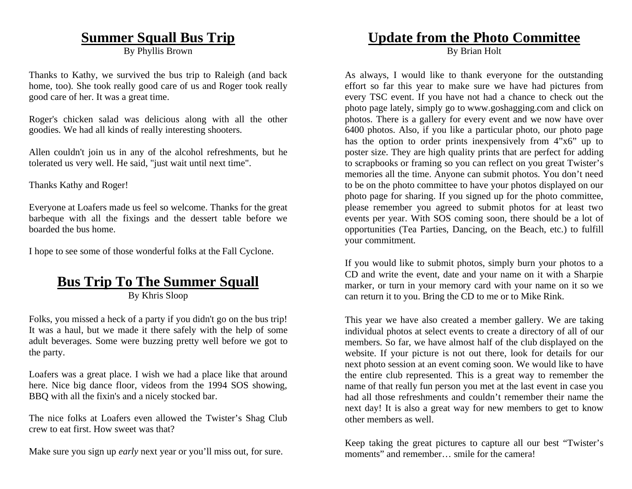# **Summer Squall Bus Trip**

By Phyllis Brown

Thanks to Kathy, we survived the bus trip to Raleigh (and back home, too). She took really good care of us and Roger took really good care of her. It was a great time.

Roger's chicken salad was delicious along with all the other goodies. We had all kinds of really interesting shooters.

Allen couldn't join us in any of the alcohol refreshments, but he tolerated us very well. He said, "just wait until next time".

Thanks Kathy and Roger!

Everyone at Loafers made us feel so welcome. Thanks for the great barbeque with all the fixings and the dessert table before we boarded the bus home.

I hope to see some of those wonderful folks at the Fall Cyclone.

# **Bus Trip To The Summer Squall**

By Khris Sloop

Folks, you missed a heck of a party if you didn't go on the bus trip! It was a haul, but we made it there safely with the help of some adult beverages. Some were buzzing pretty well before we got to the party.

Loafers was a great place. I wish we had a place like that around here. Nice big dance floor, videos from the 1994 SOS showing, BBQ with all the fixin's and a nicely stocked bar.

The nice folks at Loafers even allowed the Twister's Shag Club crew to eat first. How sweet was that?

Make sure you sign up *early* next year or you'll miss out, for sure.

# **Update from the Photo Committee**

By Brian Holt

As always, I would like to thank everyone for the outstanding effort so far this year to make sure we have had pictures from every TSC event. If you have not had a chance to check out the photo page lately, simply go to www.goshagging.com and click on photos. There is a gallery for every event and we now have over 6400 photos. Also, if you like a particular photo, our photo page has the option to order prints inexpensively from 4"x6" up to poster size. They are high quality prints that are perfect for adding to scrapbooks or framing so you can reflect on you great Twister's memories all the time. Anyone can submit photos. You don't need to be on the photo committee to have your photos displayed on our photo page for sharing. If you signed up for the photo committee, please remember you agreed to submit photos for at least two events per year. With SOS coming soon, there should be a lot of opportunities (Tea Parties, Dancing, on the Beach, etc.) to fulfill your commitment.

If you would like to submit photos, simply burn your photos to a CD and write the event, date and your name on it with a Sharpie marker, or turn in your memory card with your name on it so we can return it to you. Bring the CD to me or to Mike Rink.

This year we have also created a member gallery. We are taking individual photos at select events to create a directory of all of our members. So far, we have almost half of the club displayed on the website. If your picture is not out there, look for details for our next photo session at an event coming soon. We would like to have the entire club represented. This is a great way to remember the name of that really fun person you met at the last event in case you had all those refreshments and couldn't remember their name the next day! It is also a great way for new members to get to know other members as well.

Keep taking the great pictures to capture all our best "Twister's moments" and remember smile for the camera!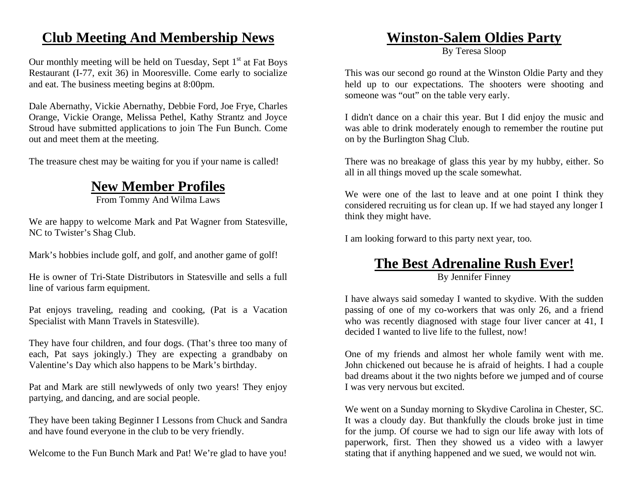# **Club Meeting And Membership News**

Our monthly meeting will be held on Tuesday, Sept  $1<sup>st</sup>$  at Fat Boys Restaurant (I-77, exit 36) in Mooresville. Come early to socialize and eat. The business meeting begins at 8:00pm.

Dale Abernathy, Vickie Abernathy, Debbie Ford, Joe Frye, Charles Orange, Vickie Orange, Melissa Pethel, Kathy Strantz and Joyce Stroud have submitted applications to join The Fun Bunch. Come out and meet them at the meeting.

The treasure chest may be waiting for you if your name is called!

# **New Member Profiles**

From Tommy And Wilma Laws

We are happy to welcome Mark and Pat Wagner from Statesville, NC to Twister's Shag Club.

Mark's hobbies include golf, and golf, and another game of golf!

He is owner of Tri-State Distributors in Statesville and sells a full line of various farm equipment.

Pat enjoys traveling, reading and cooking, (Pat is a Vacation Specialist with Mann Travels in Statesville).

They have four children, and four dogs. (That's three too many of each, Pat says jokingly.) They are expecting a grandbaby on Valentine's Day which also happens to be Mark's birthday.

Pat and Mark are still newlyweds of only two years! They enjoy partying, and dancing, and are social people.

They have been taking Beginner I Lessons from Chuck and Sandra and have found everyone in the club to be very friendly.

Welcome to the Fun Bunch Mark and Pat! We're glad to have you!

## **Winston-Salem Oldies Party**

By Teresa Sloop

This was our second go round at the Winston Oldie Party and they held up to our expectations. The shooters were shooting and someone was "out" on the table very early.

I didn't dance on a chair this year. But I did enjoy the music and was able to drink moderately enough to remember the routine put on by the Burlington Shag Club.

There was no breakage of glass this year by my hubby, either. So all in all things moved up the scale somewhat.

We were one of the last to leave and at one point I think they considered recruiting us for clean up. If we had stayed any longer I think they might have.

I am looking forward to this party next year, too.

# **The Best Adrenaline Rush Ever!**

By Jennifer Finney

I have always said someday I wanted to skydive. With the sudden passing of one of my co-workers that was only 26, and a friend who was recently diagnosed with stage four liver cancer at 41, I decided I wanted to live life to the fullest, now!

One of my friends and almost her whole family went with me. John chickened out because he is afraid of heights. I had a couple bad dreams about it the two nights before we jumped and of course I was very nervous but excited.

We went on a Sunday morning to Skydive Carolina in Chester, SC. It was a cloudy day. But thankfully the clouds broke just in time for the jump. Of course we had to sign our life away with lots of paperwork, first. Then they showed us a video with a lawyer stating that if anything happened and we sued, we would not win.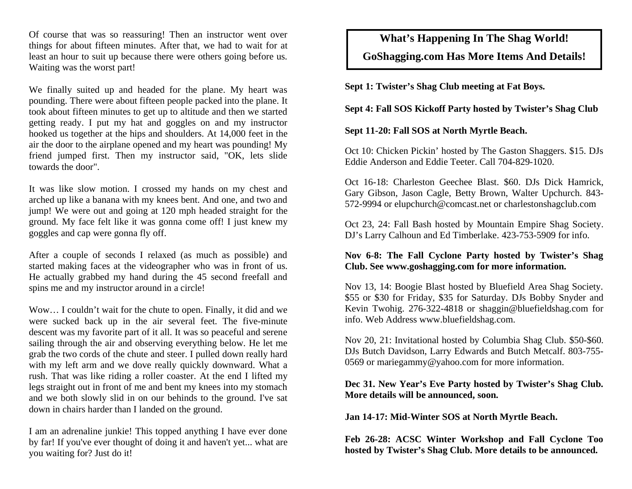Of course that was so reassuring! Then an instructor went over things for about fifteen minutes. After that, we had to wait for at least an hour to suit up because there were others going before us. Waiting was the worst part!

We finally suited up and headed for the plane. My heart was pounding. There were about fifteen people packed into the plane. It took about fifteen minutes to get up to altitude and then we started getting ready. I put my hat and goggles on and my instructor hooked us together at the hips and shoulders. At 14,000 feet in the air the door to the airplane opened and my heart was pounding! My friend jumped first. Then my instructor said, "OK, lets slide towards the door".

It was like slow motion. I crossed my hands on my chest and arched up like a banana with my knees bent. And one, and two and jump! We were out and going at 120 mph headed straight for the ground. My face felt like it was gonna come off! I just knew my goggles and cap were gonna fly off.

After a couple of seconds I relaxed (as much as possible) and started making faces at the videographer who was in front of us. He actually grabbed my hand during the 45 second freefall and spins me and my instructor around in a circle!

Wow… I couldn't wait for the chute to open. Finally, it did and we were sucked back up in the air several feet. The five-minute descent was my favorite part of it all. It was so peaceful and serene sailing through the air and observing everything below. He let me grab the two cords of the chute and steer. I pulled down really hard with my left arm and we dove really quickly downward. What a rush. That was like riding a roller coaster. At the end I lifted my legs straight out in front of me and bent my knees into my stomach and we both slowly slid in on our behinds to the ground. I've sat down in chairs harder than I landed on the ground.

I am an adrenaline junkie! This topped anything I have ever done by far! If you've ever thought of doing it and haven't yet... what are you waiting for? Just do it!

# **What's Happening In The Shag World!**

### **GoShagging.com Has More Items And Details!**

**Sept 1: Twister's Shag Club meeting at Fat Boys.** 

#### **Sept 4: Fall SOS Kickoff Party hosted by Twister's Shag Club**

#### **Sept 11-20: Fall SOS at North Myrtle Beach.**

Oct 10: Chicken Pickin' hosted by The Gaston Shaggers. \$15. DJs Eddie Anderson and Eddie Teeter. Call 704-829-1020.

Oct 16-18: Charleston Geechee Blast. \$60. DJs Dick Hamrick, Gary Gibson, Jason Cagle, Betty Brown, Walter Upchurch. 843- 572-9994 or elupchurch@comcast.net or charlestonshagclub.com

Oct 23, 24: Fall Bash hosted by Mountain Empire Shag Society. DJ's Larry Calhoun and Ed Timberlake. 423-753-5909 for info.

#### **Nov 6-8: The Fall Cyclone Party hosted by Twister's Shag Club. See www.goshagging.com for more information.**

Nov 13, 14: Boogie Blast hosted by Bluefield Area Shag Society. \$55 or \$30 for Friday, \$35 for Saturday. DJs Bobby Snyder and Kevin Twohig. 276-322-4818 or shaggin@bluefieldshag.com for info. Web Address www.bluefieldshag.com.

Nov 20, 21: Invitational hosted by Columbia Shag Club. \$50-\$60. DJs Butch Davidson, Larry Edwards and Butch Metcalf. 803-755- 0569 or mariegammy@yahoo.com for more information.

#### **Dec 31. New Year's Eve Party hosted by Twister's Shag Club. More details will be announced, soon.**

**Jan 14-17: Mid-Winter SOS at North Myrtle Beach.** 

**Feb 26-28: ACSC Winter Workshop and Fall Cyclone Too hosted by Twister's Shag Club. More details to be announced.**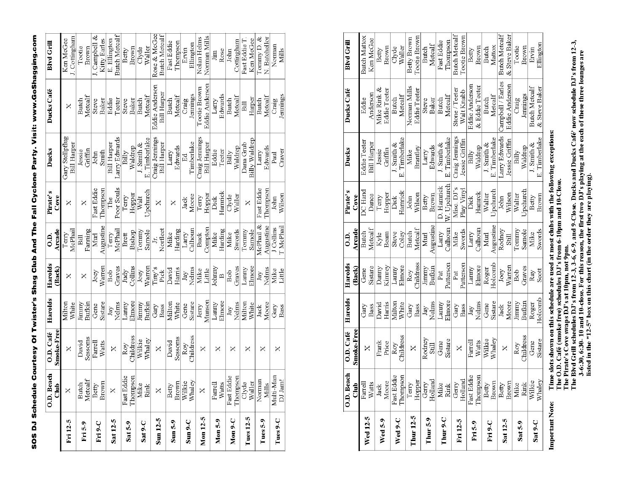SOS DJ Schedule Courtesy Of Twister's Shag Club And The Fall Cyclone Party. Visit: www.GoShagging.com

|             | O.D. Beach              | O.D. Café                 | Harolds                   | Harolds         | e.<br>O          | Pirate's          | Ducks                                | Ducks Café                    | <b>Blvd Grill</b>             |
|-------------|-------------------------|---------------------------|---------------------------|-----------------|------------------|-------------------|--------------------------------------|-------------------------------|-------------------------------|
|             | Ê<br>ō                  | Smoke-Free                |                           | (Back)          | Arcade           | Čove              |                                      |                               |                               |
| Fri 12-5    |                         | ×                         | Viiton<br>White           | ×               | McPhail<br>Terry | ×                 | Gary Stellpflug<br>Bill Harper       | ×                             | I. Cottingham<br>Ken McGee    |
| $Fr15-9$    | Butch<br>Metcalf        | Sessoms<br>David          | Bufkin<br><b>VIIIIIII</b> | ×               | Fanning<br>$\Xi$ | ×                 | Griffin<br>Jessie                    | Metcalf<br>Butch              | Tootie<br>Brown               |
| Fri 9-C     | Betty<br>Brown          | Farrell                   | Gene                      | Joey            | Murl             | Fast Eddie        | John                                 | Steve                         | J. Campbell &                 |
|             |                         | Watts                     | Sistare                   | Warrer          | Augustine        | Thompson          | S <sub>mid</sub>                     | Baker                         | Kitty Earles                  |
| Sat 12-5    | $\times$                | ×                         | Nelms<br>Jay              | <b>G</b><br>Bob | McPhail<br>Terry | Poor Souls<br>The | Larry Edwards<br>Віll Нагрег         | Teeter<br>Eddie               | Butch Metcalf<br>E. Ellington |
|             | Fast Eddie              | Roy                       | Lanny                     | Judy            | Brett            | Terry             | hill<br>日                            | Steve                         | <b>Betty</b>                  |
| Sat 5-9     | Thompson                | $_{\rm T}^{\rm middress}$ | Elmore                    | $_{\rm{500}}$   | Bishop           | Hopper            | Waldrep                              | Baker                         | Brown                         |
| Sat 9-C     | Mike<br>Rink            | Wilkie                    | Jimmy                     | Joey            | Tommy            | Walt              | $J$ . Smith $\&$                     | Butch                         | Clyde                         |
|             |                         | Whaley                    | Bufkin                    | Warren          | Samole           | Upchurch          | E. Timberlake                        | Metcalf                       | Valler                        |
| Sun 12-5    | $\overline{\mathsf{x}}$ | ×                         | Gary<br>Bass              | Tiny's<br>Pick  | Norfleet<br>5    | ×                 | Craig Jennings<br><b>Bill Harper</b> | Eddie Anderson<br>Bill Harper | Rose & McGee<br>Butch Metcalf |
|             | Betty                   | David                     | Milton                    | David           | Mike             | X                 | Larry                                | Butch                         | Fast Eddie                    |
| $Sum 5-9$   | Brown                   | Sessoms                   | White                     | Harris          | Harding          |                   | Edwards                              | Metcalf                       | Thompson                      |
| $Sum 9-C$   | Wilkie<br>Whaley        | Roy                       | Gene                      | Jay             | Larry            | Jack              | 덥                                    | Craig                         | Ervin                         |
|             | ा<br>बोल                | Childress                 | Sistare                   | Nelms           | Calhoun          | Moore             | Timberlake                           | Jennungs                      | Ellington                     |
| Mon 12-5    | $\times$                | ×                         | Jerry                     | Mike            | Buck             | Terry             | Craig Jennings                       | Tootie Brown                  | Nolan Helms                   |
|             |                         |                           | Munson                    | Little          | Compton          | Hopper            | Віll Нагрег                          | Eddie Anderson                | Norman Mills                  |
| Mon $5-9$   | Farrell<br>Watts        | ×                         | Lanny                     | ohnmy)          | Mike             | Dick              | Eddie                                | Larry                         | Jim                           |
|             |                         |                           | Elmore                    | $\mathbf{a}$    | Harding          | Hamrick           | Teeter                               | Edwards                       | Rose                          |
| $Mon 9-C$   | Fast Eddie<br>Thompson  | ×                         | Jay                       | Bob             | Mike             | Clyde             | Billy                                | Butch                         | John                          |
|             |                         |                           | Nelms                     | Graves          | Swords           | Waller            | Waldrep                              | Metcalf                       | Cottingham                    |
|             |                         | ×                         | Milton                    | Lanny           | Tommy            | ×                 | Dana Grub                            | $\Xi$                         | Fast Eddie T                  |
| Tues $12-5$ | Clyde<br>Waller         |                           | White                     | Elmore          | Samole           |                   | Billy Waldrep                        | Harper                        | Ken McGee                     |
| Tues 5-9    | Norman                  | ×                         | Jack                      | Jay             | McPhail &        | Fast Eddie        | Larry                                | Butch                         | Tommy $D.$ &                  |
|             | Mills                   |                           | Moore                     | Nelms           | Augustine        | Thompson          | Edwards                              | Metcalf                       | N. Batchellor                 |
| Tues 9-C    | Multi-Man               | ×                         | Gary                      | Mike            | J Collins        | John              | Paul                                 | Craig                         | Norman                        |
|             | DJ Jam!                 |                           | Bass                      | Little          | T McPhail        | Wilsor            | Craver                               | Jennings                      | Мills                         |

|                     | Beach<br>$\overline{10.01}$ | O.D. Café               | Harolds | Harolds          | $\frac{1}{2}$ | Pirate's    | Ducks              | Ducks Café          | <b>Blvd Grill</b>    |
|---------------------|-----------------------------|-------------------------|---------|------------------|---------------|-------------|--------------------|---------------------|----------------------|
|                     | 힄<br>$\bar{c}$              | Smoke-Free              |         | (Back)           | Arcade        | Cove        |                    |                     |                      |
| <b>Wed 12-5</b>     |                             | ×                       | Gary    | Gene             | Butch         | DC Hand     | Eddie Teeter       | Eddie               | <b>Butch Mattox</b>  |
|                     | Farrell<br>Watts            |                         | Bass    | Sistare          | Metcalf       | Dance       | <b>Bill Harper</b> | Anderson            | Ken McGee            |
|                     | Jack<br>Moore               | Frank                   | David   | Danny            |               | Terry       | Jessie             | Mike Rink &         | Betty                |
| Wed 5-9             |                             | Price                   | Harris  | Kinrey           | Kyle<br>Beam  | Hopper      | Griffin            | Eddie Teeter        | Brown                |
|                     | Fast Eddie                  | $\mathop{\mathrm{Roy}}$ | Milton  | Lanny            | Steve         | Dick        | $J.$ Smith $\&$    | Butch               | Clyde                |
| Wed 9-C             | Thompson                    | <b>Childress</b>        | White   | Elmore           | Coley         | Hamrick     | E. Timberlake      | Metcalf             | Waller               |
| <b>Thur 12-5</b>    | Terry<br>Hopper             | ×                       | Gary    | Roy              | <b>Butch</b>  | John        | Mike               | Norman Mills        | Betty Brown          |
|                     |                             |                         | Bass    | <b>Childress</b> | Metcalf       | Wilson      | Brantley           | <b>Eddie Teeter</b> | Tootie Brown         |
| Thur <sub>5-9</sub> | Gerry<br>Holland            | Rodney                  | Jay     | Jimmy            | Murl          | Betty       | Larry              | Steve               | Butch                |
|                     |                             | Still                   | Nelms   | Bufkin           | Augustine     | Brown       | Edwards            | Baker               | Metcalf              |
| Thur 9-C            |                             | Gene                    | Lanny   | Pat              | Larry         | D. Hanrick  | $J.$ Smith $\&$    | <b>Butch</b>        | Fast Eddie           |
|                     | Mike<br>Rink                | Sistare                 | Elmore  | Patterson        | Calhoun       | W. Upchurch | E. Timberlake      | Metcalf             | Thompson             |
| Fri 12-5            | Gerry                       | ×                       | Gary    | Pat              | Mike          | Misc. DJ's  | Craig Jennings     | Stone / Teeter      | <b>Butch Metcalf</b> |
|                     | Holland                     |                         | Bass    | Patterson        | Swords        | Play Vinyl  | Jessie Griffin     | Walt Knabb          | Tootie Brown         |
| Fri <sub>5-9</sub>  | Fast Eddie<br>Thompson      | Farrell                 | Jay     | Lanny            | Larry         | Dick        | Billy              | Eddie Anderson      | Betty                |
|                     |                             | Watts                   | Nelms   | Elmore           | $C$ alhour    | Hamrck      | Waldrep            | & Eddie Teeter      | Brown                |
|                     | Betty                       | Wilkie                  | Gene    | Roger            | Murl          | Walter      | $J.$ Smith $\&$    | Butch               | Butch                |
| Fri 9-C             | Brown                       | Whaley                  | Sistare | Holcomb          | Augustine     | Upchurch    | E. Timberlake      | Metcalf             | Mattox               |
| Sat 12-5            | Betty                       | ×                       | Jack    | Joey             | Rodney        | John        | Larry Edwards      | Campbell / Earles   | <b>Butch Metcalf</b> |
|                     | <b>Brown</b>                |                         | Moore   | Warren           | Still         | Wilson      | Jessie Griffin     | Eddie Anderson      | & Steve Baker        |
| Sat 5-9             |                             | Roy                     | limmy   | Bob              | Tommy         | Walter      | Billy              | Craig               | Tootie               |
|                     |                             | Childress               | Bufkin  | Graves           | Samole        | Jpehureh    | Waldrep            | Jennings            | Brown                |
| Sat 9-C             | Mike<br>Rink<br>Wilkie      | Gene                    | Roger   | Ray              | Mike          | Betty       | J. Smith $\&$      | Butch Metcalf       | Ervin                |
|                     | Whaley                      | Sistare                 | Holcomb | Scott            | Swords        | Brown       | E. Timberlake      | & Steve Baker       | Ellington            |
|                     |                             |                         |         |                  |               |             |                    |                     |                      |

Important Note:

Time slots shown on this schedule are used at most clubs with the following exceptions:<br>The O.D. Café (smoke free) schedules DJ's from 6-10pm and 10-Close.<br>The Pirate's Cove swaps DJ's at 10pm, not 9pm.<br>The Bkd Grill sche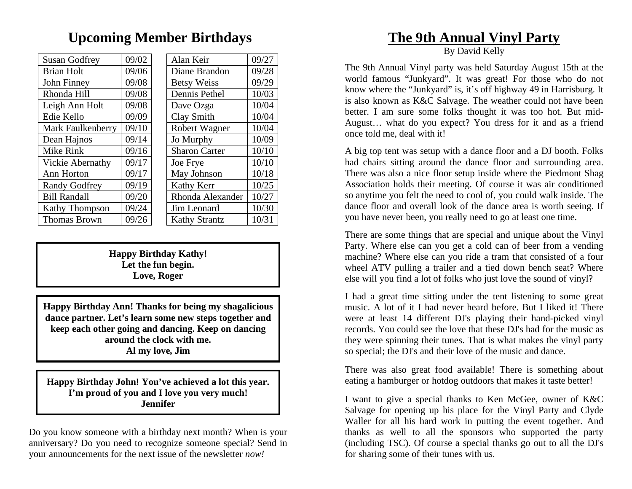# **Upcoming Member Birthdays**

 $10/10$ 

| <b>Susan Godfrey</b>     | 09/02 | Alan Keir            | 09/27 |
|--------------------------|-------|----------------------|-------|
| <b>Brian Holt</b>        | 09/06 | Diane Brandon        | 09/28 |
| John Finney              | 09/08 | <b>Betsy Weiss</b>   | 09/29 |
| Rhonda Hill              | 09/08 | Dennis Pethel        | 10/03 |
| Leigh Ann Holt           | 09/08 | Dave Ozga            | 10/04 |
| Edie Kello               | 09/09 | Clay Smith           | 10/04 |
| <b>Mark Faulkenberry</b> | 09/10 | Robert Wagner        | 10/04 |
| Dean Hajnos              | 09/14 | Jo Murphy            | 10/09 |
| Mike Rink                | 09/16 | <b>Sharon Carter</b> | 10/10 |
| <b>Vickie Abernathy</b>  | 09/17 | Joe Frye             | 10/10 |
| Ann Horton               | 09/17 | May Johnson          | 10/18 |
| <b>Randy Godfrey</b>     | 09/19 | Kathy Kerr           | 10/25 |
| <b>Bill Randall</b>      | 09/20 | Rhonda Alexander     | 10/27 |
| Kathy Thompson           | 09/24 | Jim Leonard          | 10/30 |
| <b>Thomas Brown</b>      | 09/26 | <b>Kathy Strantz</b> | 10/31 |

**Happy Birthday Kathy! Let the fun begin. Love, Roger** 

**Happy Birthday Ann! Thanks for being my shagalicious dance partner. Let's learn some new steps together and keep each other going and dancing. Keep on dancing around the clock with me. Al my love, Jim** 

**Happy Birthday John! You've achieved a lot this year. I'm proud of you and I love you very much! Jennifer** 

Do you know someone with a birthday next month? When is your anniversary? Do you need to recognize someone special? Send in your announcements for the next issue of the newsletter *now!* 

# **The 9th Annual Vinyl Party**

By David Kelly

The 9th Annual Vinyl party was held Saturday August 15th at the world famous "Junkyard". It was great! For those who do not know where the "Junkyard" is, it's off highway 49 in Harrisburg. It is also known as K&C Salvage. The weather could not have been better. I am sure some folks thought it was too hot. But mid-August… what do you expect? You dress for it and as a friend once told me, deal with it!

A big top tent was setup with a dance floor and a DJ booth. Folks had chairs sitting around the dance floor and surrounding area. There was also a nice floor setup inside where the Piedmont Shag Association holds their meeting. Of course it was air conditioned so anytime you felt the need to cool of, you could walk inside. The dance floor and overall look of the dance area is worth seeing. If you have never been, you really need to go at least one time.

There are some things that are special and unique about the Vinyl Party. Where else can you get a cold can of beer from a vending machine? Where else can you ride a tram that consisted of a four wheel ATV pulling a trailer and a tied down bench seat? Where else will you find a lot of folks who just love the sound of vinyl?

I had a great time sitting under the tent listening to some great music. A lot of it I had never heard before. But I liked it! There were at least 14 different DJ's playing their hand-picked vinyl records. You could see the love that these DJ's had for the music as they were spinning their tunes. That is what makes the vinyl party so special; the DJ's and their love of the music and dance.

There was also great food available! There is something about eating a hamburger or hotdog outdoors that makes it taste better!

I want to give a special thanks to Ken McGee, owner of K&C Salvage for opening up his place for the Vinyl Party and Clyde Waller for all his hard work in putting the event together. And thanks as well to all the sponsors who supported the party (including TSC). Of course a special thanks go out to all the DJ's for sharing some of their tunes with us.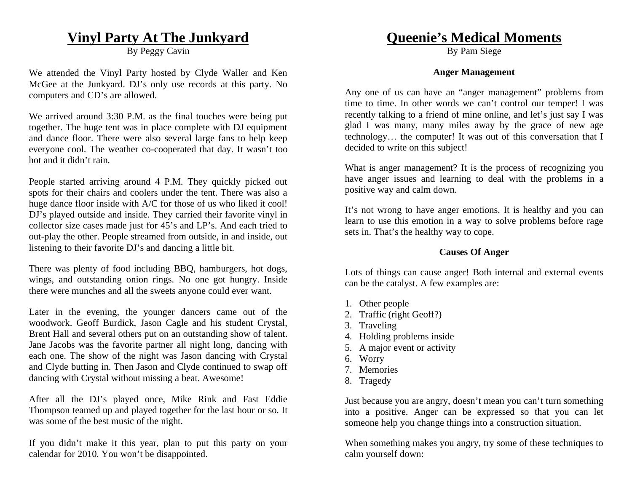# **Vinyl Party At The Junkyard**

By Peggy Cavin

We attended the Vinyl Party hosted by Clyde Waller and Ken McGee at the Junkyard. DJ's only use records at this party. No computers and CD's are allowed.

We arrived around 3:30 P.M. as the final touches were being put together. The huge tent was in place complete with DJ equipment and dance floor. There were also several large fans to help keep everyone cool. The weather co-cooperated that day. It wasn't too hot and it didn't rain.

People started arriving around 4 P.M. They quickly picked out spots for their chairs and coolers under the tent. There was also a huge dance floor inside with A/C for those of us who liked it cool! DJ's played outside and inside. They carried their favorite vinyl in collector size cases made just for 45's and LP's. And each tried to out-play the other. People streamed from outside, in and inside, out listening to their favorite DJ's and dancing a little bit.

There was plenty of food including BBQ, hamburgers, hot dogs, wings, and outstanding onion rings. No one got hungry. Inside there were munches and all the sweets anyone could ever want.

Later in the evening, the younger dancers came out of the woodwork. Geoff Burdick, Jason Cagle and his student Crystal, Brent Hall and several others put on an outstanding show of talent. Jane Jacobs was the favorite partner all night long, dancing with each one. The show of the night was Jason dancing with Crystal and Clyde butting in. Then Jason and Clyde continued to swap off dancing with Crystal without missing a beat. Awesome!

After all the DJ's played once, Mike Rink and Fast Eddie Thompson teamed up and played together for the last hour or so. It was some of the best music of the night.

If you didn't make it this year, plan to put this party on your calendar for 2010. You won't be disappointed.

# **Queenie's Medical Moments**

By Pam Siege

#### **Anger Management**

Any one of us can have an "anger management" problems from time to time. In other words we can't control our temper! I was recently talking to a friend of mine online, and let's just say I was glad I was many, many miles away by the grace of new age technology… the computer! It was out of this conversation that I decided to write on this subject!

What is anger management? It is the process of recognizing you have anger issues and learning to deal with the problems in a positive way and calm down.

It's not wrong to have anger emotions. It is healthy and you can learn to use this emotion in a way to solve problems before rage sets in. That's the healthy way to cope.

#### **Causes Of Anger**

Lots of things can cause anger! Both internal and external events can be the catalyst. A few examples are:

- 1. Other people
- 2. Traffic (right Geoff?)
- 3. Traveling
- 4. Holding problems inside
- 5. A major event or activity
- 6. Worry
- 7. Memories
- 8. Tragedy

Just because you are angry, doesn't mean you can't turn something into a positive. Anger can be expressed so that you can let someone help you change things into a construction situation.

When something makes you angry, try some of these techniques to calm yourself down: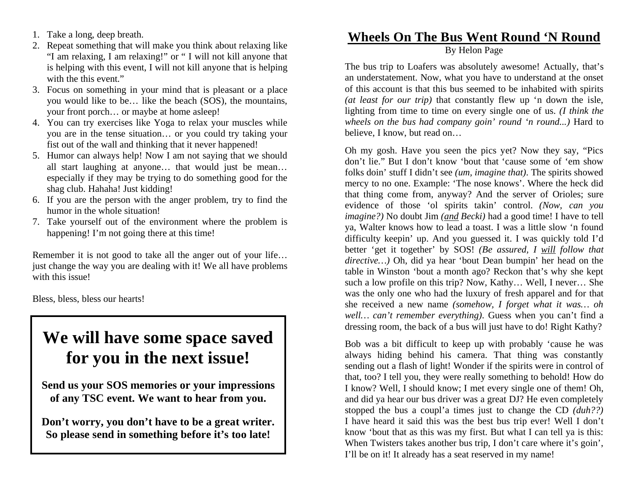- 1. Take a long, deep breath.
- 2. Repeat something that will make you think about relaxing like "I am relaxing, I am relaxing!" or " I will not kill anyone that is helping with this event, I will not kill anyone that is helping with the this event."
- 3. Focus on something in your mind that is pleasant or a place you would like to be… like the beach (SOS), the mountains, your front porch… or maybe at home asleep!
- 4. You can try exercises like Yoga to relax your muscles while you are in the tense situation… or you could try taking your fist out of the wall and thinking that it never happened!
- 5. Humor can always help! Now I am not saying that we should all start laughing at anyone… that would just be mean… especially if they may be trying to do something good for the shag club. Hahaha! Just kidding!
- 6. If you are the person with the anger problem, try to find the humor in the whole situation!
- 7. Take yourself out of the environment where the problem is happening! I'm not going there at this time!

Remember it is not good to take all the anger out of your life… just change the way you are dealing with it! We all have problems with this issue!

Bless, bless, bless our hearts!

# **We will have some space saved for you in the next issue!**

**Send us your SOS memories or your impressions of any TSC event. We want to hear from you.** 

**Don't worry, you don't have to be a great writer. So please send in something before it's too late!** 

# **Wheels On The Bus Went Round 'N Round**

By Helon Page

The bus trip to Loafers was absolutely awesome! Actually, that's an understatement. Now, what you have to understand at the onset of this account is that this bus seemed to be inhabited with spirits *(at least for our trip)* that constantly flew up 'n down the isle, lighting from time to time on every single one of us. *(I think the wheels on the bus had company goin' round 'n round...)* Hard to believe, I know, but read on…

Oh my gosh. Have you seen the pics yet? Now they say, "Pics don't lie." But I don't know 'bout that 'cause some of 'em show folks doin' stuff I didn't see *(um, imagine that)*. The spirits showed mercy to no one. Example: 'The nose knows'. Where the heck did that thing come from, anyway? And the server of Orioles; sure evidence of those 'ol spirits takin' control. *(Now, can you imagine?)* No doubt Jim *(and Becki)* had a good time! I have to tell ya, Walter knows how to lead a toast. I was a little slow 'n found difficulty keepin' up. And you guessed it. I was quickly told I'd better 'get it together' by SOS! *(Be assured, I will follow that directive…)* Oh, did ya hear 'bout Dean bumpin' her head on the table in Winston 'bout a month ago? Reckon that's why she kept such a low profile on this trip? Now, Kathy… Well, I never… She was the only one who had the luxury of fresh apparel and for that she received a new name *(somehow, I forget what it was… oh well… can't remember everything)*. Guess when you can't find a dressing room, the back of a bus will just have to do! Right Kathy?

Bob was a bit difficult to keep up with probably 'cause he was always hiding behind his camera. That thing was constantly sending out a flash of light! Wonder if the spirits were in control of that, too? I tell you, they were really something to behold! How do I know? Well, I should know; I met every single one of them! Oh, and did ya hear our bus driver was a great DJ? He even completely stopped the bus a coupl'a times just to change the CD *(duh??)* I have heard it said this was the best bus trip ever! Well I don't know 'bout that as this was my first. But what I can tell ya is this: When Twisters takes another bus trip, I don't care where it's goin', I'll be on it! It already has a seat reserved in my name!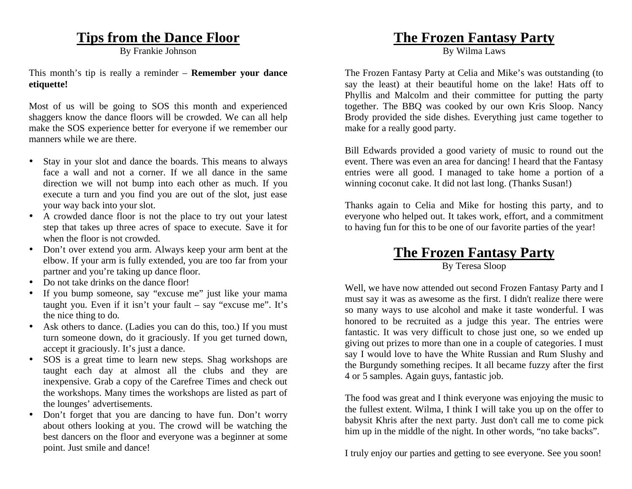# **Tips from the Dance Floor**

By Frankie Johnson

This month's tip is really a reminder – **Remember your dance etiquette!** 

Most of us will be going to SOS this month and experienced shaggers know the dance floors will be crowded. We can all help make the SOS experience better for everyone if we remember our manners while we are there.

- • Stay in your slot and dance the boards. This means to always face a wall and not a corner. If we all dance in the same direction we will not bump into each other as much. If you execute a turn and you find you are out of the slot, just ease your way back into your slot.
- $\bullet$  A crowded dance floor is not the place to try out your latest step that takes up three acres of space to execute. Save it for when the floor is not crowded.
- $\bullet$  Don't over extend you arm. Always keep your arm bent at the elbow. If your arm is fully extended, you are too far from your partner and you're taking up dance floor.
- Do not take drinks on the dance floor!
- If you bump someone, say "excuse me" just like your mama taught you. Even if it isn't your fault – say "excuse me". It's the nice thing to do.
- $\bullet$  Ask others to dance. (Ladies you can do this, too.) If you must turn someone down, do it graciously. If you get turned down, accept it graciously. It's just a dance.
- $\bullet$  SOS is a great time to learn new steps. Shag workshops are taught each day at almost all the clubs and they are inexpensive. Grab a copy of the Carefree Times and check out the workshops. Many times the workshops are listed as part of the lounges' advertisements.
- $\bullet$  Don't forget that you are dancing to have fun. Don't worry about others looking at you. The crowd will be watching the best dancers on the floor and everyone was a beginner at some point. Just smile and dance!

## **The Frozen Fantasy Party**

By Wilma Laws

The Frozen Fantasy Party at Celia and Mike's was outstanding (to say the least) at their beautiful home on the lake! Hats off to Phyllis and Malcolm and their committee for putting the party together. The BBQ was cooked by our own Kris Sloop. Nancy Brody provided the side dishes. Everything just came together to make for a really good party.

Bill Edwards provided a good variety of music to round out the event. There was even an area for dancing! I heard that the Fantasy entries were all good. I managed to take home a portion of a winning coconut cake. It did not last long. (Thanks Susan!)

Thanks again to Celia and Mike for hosting this party, and to everyone who helped out. It takes work, effort, and a commitment to having fun for this to be one of our favorite parties of the year!

# **The Frozen Fantasy Party**

By Teresa Sloop

Well, we have now attended out second Frozen Fantasy Party and I must say it was as awesome as the first. I didn't realize there were so many ways to use alcohol and make it taste wonderful. I was honored to be recruited as a judge this year. The entries were fantastic. It was very difficult to chose just one, so we ended up giving out prizes to more than one in a couple of categories. I must say I would love to have the White Russian and Rum Slushy and the Burgundy something recipes. It all became fuzzy after the first 4 or 5 samples. Again guys, fantastic job.

The food was great and I think everyone was enjoying the music to the fullest extent. Wilma, I think I will take you up on the offer to babysit Khris after the next party. Just don't call me to come pick him up in the middle of the night. In other words, "no take backs".

I truly enjoy our parties and getting to see everyone. See you soon!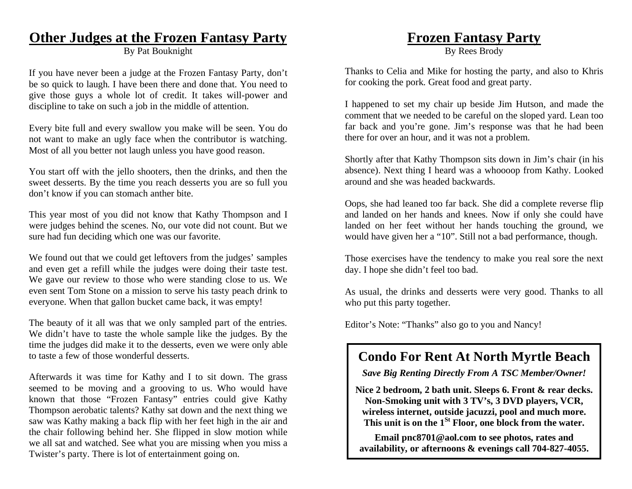# **Other Judges at the Frozen Fantasy Party**

By Pat Bouknight

If you have never been a judge at the Frozen Fantasy Party, don't be so quick to laugh. I have been there and done that. You need to give those guys a whole lot of credit. It takes will-power and discipline to take on such a job in the middle of attention.

Every bite full and every swallow you make will be seen. You do not want to make an ugly face when the contributor is watching. Most of all you better not laugh unless you have good reason.

You start off with the jello shooters, then the drinks, and then the sweet desserts. By the time you reach desserts you are so full you don't know if you can stomach anther bite.

This year most of you did not know that Kathy Thompson and I were judges behind the scenes. No, our vote did not count. But we sure had fun deciding which one was our favorite.

We found out that we could get leftovers from the judges' samples and even get a refill while the judges were doing their taste test. We gave our review to those who were standing close to us. We even sent Tom Stone on a mission to serve his tasty peach drink to everyone. When that gallon bucket came back, it was empty!

The beauty of it all was that we only sampled part of the entries. We didn't have to taste the whole sample like the judges. By the time the judges did make it to the desserts, even we were only able to taste a few of those wonderful desserts.

Afterwards it was time for Kathy and I to sit down. The grass seemed to be moving and a grooving to us. Who would have known that those "Frozen Fantasy" entries could give Kathy Thompson aerobatic talents? Kathy sat down and the next thing we saw was Kathy making a back flip with her feet high in the air and the chair following behind her. She flipped in slow motion while we all sat and watched. See what you are missing when you miss a Twister's party. There is lot of entertainment going on.

# **Frozen Fantasy Party**

By Rees Brody

Thanks to Celia and Mike for hosting the party, and also to Khris for cooking the pork. Great food and great party.

I happened to set my chair up beside Jim Hutson, and made the comment that we needed to be careful on the sloped yard. Lean too far back and you're gone. Jim's response was that he had been there for over an hour, and it was not a problem.

Shortly after that Kathy Thompson sits down in Jim's chair (in his absence). Next thing I heard was a whoooop from Kathy. Looked around and she was headed backwards.

Oops, she had leaned too far back. She did a complete reverse flip and landed on her hands and knees. Now if only she could have landed on her feet without her hands touching the ground, we would have given her a "10". Still not a bad performance, though.

Those exercises have the tendency to make you real sore the next day. I hope she didn't feel too bad.

As usual, the drinks and desserts were very good. Thanks to all who put this party together.

Editor's Note: "Thanks" also go to you and Nancy!

# **Condo For Rent At North Myrtle Beach**

*Save Big Renting Directly From A TSC Member/Owner!* 

**Nice 2 bedroom, 2 bath unit. Sleeps 6. Front & rear decks. Non-Smoking unit with 3 TV's, 3 DVD players, VCR, wireless internet, outside jacuzzi, pool and much more. This unit is on the 1St Floor, one block from the water.** 

**Email pnc8701@aol.com to see photos, rates and availability, or afternoons & evenings call 704-827-4055.**